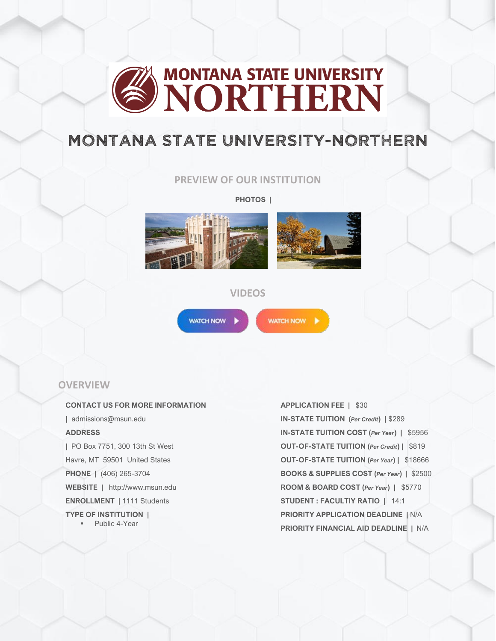

# MONTANA STATE UNIVERSITY-NORTHERN

## **PREVIEW OF OUR INSTITUTION**

**PHOTOS |**





## **VIDEOS**



WATCH NOW

# **OVERVIEW**

#### **CONTACT US FOR MORE INFORMATION**

**|** admissions@msun.edu **ADDRESS**

**|** PO Box 7751, 300 13th St West Havre, MT 59501 United States **PHONE |** (406) 265-3704 **WEBSITE |** http://www.msun.edu **ENROLLMENT |** 1111 Students **TYPE OF INSTITUTION |**

■ Public 4-Year

#### **APPLICATION FEE |** \$30

**IN-STATE TUITION (***Per Credit***) |** \$289 **IN-STATE TUITION COST (***Per Year***) |** \$5956 **OUT-OF-STATE TUITION (***Per Credit***) |** \$819 **OUT-OF-STATE TUITION (***Per Year***) |** \$18666 **BOOKS & SUPPLIES COST (***Per Year***) |** \$2500 **ROOM & BOARD COST (***Per Year***) |** \$5770 **STUDENT : FACULTIY RATIO |** 14:1 **PRIORITY APPLICATION DEADLINE |** N/A **PRIORITY FINANCIAL AID DEADLINE |** N/A